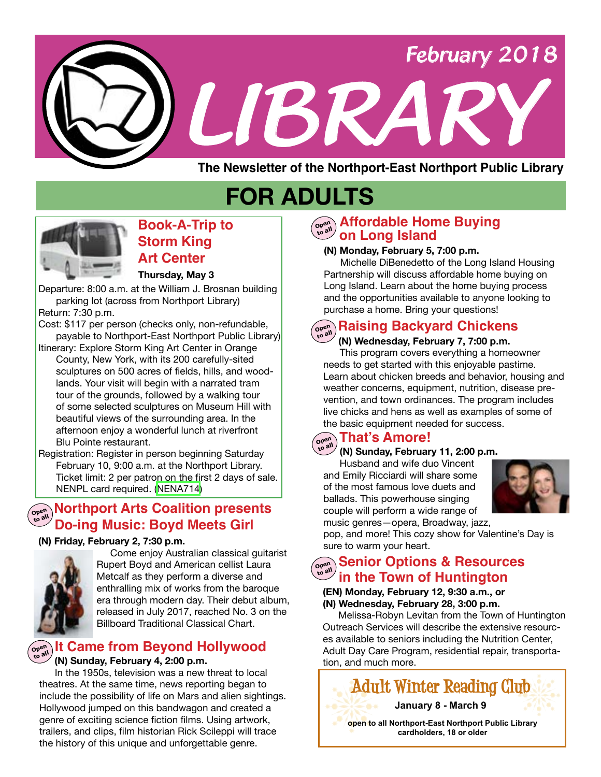

# **FOR ADULTS**



### **Book-A-Trip to Storm King Art Center**

#### **Thursday, May 3**

Departure: 8:00 a.m. at the William J. Brosnan building parking lot (across from Northport Library) Return: 7:30 p.m.

Cost: \$117 per person (checks only, non-refundable, payable to Northport-East Northport Public Library)

Itinerary: Explore Storm King Art Center in Orange County, New York, with its 200 carefully-sited sculptures on 500 acres of fields, hills, and woodlands. Your visit will begin with a narrated tram tour of the grounds, followed by a walking tour of some selected sculptures on Museum Hill with beautiful views of the surrounding area. In the afternoon enjoy a wonderful lunch at riverfront Blu Pointe restaurant.

Registration: Register in person beginning Saturday February 10, 9:00 a.m. at the Northport Library. Ticket limit: 2 per patron on the first 2 days of sale. NENPL card required. ([NENA714\)](http://alpha1.suffolk.lib.ny.us/record%3Dg1079392~S43)

### **Northport Arts Coalition presents Open to all Do-ing Music: Boyd Meets Girl**



 Come enjoy Australian classical guitarist Rupert Boyd and American cellist Laura Metcalf as they perform a diverse and enthralling mix of works from the baroque era through modern day. Their debut album, released in July 2017, reached No. 3 on the Billboard Traditional Classical Chart.

#### **It Came from Beyond Hollywood Open to all**

#### **(N) Sunday, February 4, 2:00 p.m.**

 In the 1950s, television was a new threat to local theatres. At the same time, news reporting began to include the possibility of life on Mars and alien sightings. Hollywood jumped on this bandwagon and created a genre of exciting science fiction films. Using artwork, trailers, and clips, film historian Rick Scileppi will trace the history of this unique and unforgettable genre.

#### **Affordable Home Buying on Long Island Open to all**

#### **(N) Monday, February 5, 7:00 p.m.**

 Michelle DiBenedetto of the Long Island Housing Partnership will discuss affordable home buying on Long Island. Learn about the home buying process and the opportunities available to anyone looking to purchase a home. Bring your questions!

# **Raising Backyard Chickens Open to all**

#### **(N) Wednesday, February 7, 7:00 p.m.** This program covers everything a homeowner needs to get started with this enjoyable pastime.

Learn about chicken breeds and behavior, housing and weather concerns, equipment, nutrition, disease prevention, and town ordinances. The program includes live chicks and hens as well as examples of some of the basic equipment needed for success.

#### **That's Amore! Open to all**

 **(N) Sunday, February 11, 2:00 p.m.**

Husband and wife duo Vincent and Emily Ricciardi will share some of the most famous love duets and ballads. This powerhouse singing couple will perform a wide range of music genres—opera, Broadway, jazz,



pop, and more! This cozy show for Valentine's Day is sure to warm your heart. **(N) Friday, February 2, 7:30 p.m.**

### **Senior Options & Resources Open to all in the Town of Huntington**

#### **(EN) Monday, February 12, 9:30 a.m., or (N) Wednesday, February 28, 3:00 p.m.**

 Melissa-Robyn Levitan from the Town of Huntington Outreach Services will describe the extensive resources available to seniors including the Nutrition Center, Adult Day Care Program, residential repair, transportation, and much more.

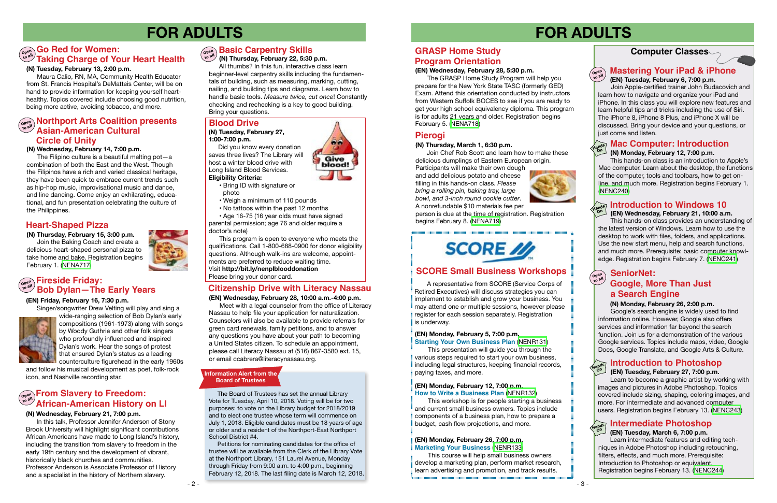- 3 -

### **Computer Classes**

# **FOR ADULTS FOR ADULTS**



 **(EN) Wednesday, February 21, 10:00 a.m.**

 This hands-on class provides an understanding of the latest version of Windows. Learn how to use the desktop to work with files, folders, and applications. Use the new start menu, help and search functions, and much more. Prerequisite: basic computer knowledge. Registration begins February 7. ([NENC241\)](http://alpha1.suffolk.lib.ny.us/record%3Dg1061941~S43)

### **Heart-Shaped Pizza**

#### **(N) Wednesday, February 14, 7:00 p.m.**

wide-ranging selection of Bob Dylan's early compositions (1961-1973) along with songs by Woody Guthrie and other folk singers who profoundly influenced and inspired Dylan's work. Hear the songs of protest that ensured Dylan's status as a leading counterculture figurehead in the early 1960s

 The Filipino culture is a beautiful melting pot—a combination of both the East and the West. Though the Filipinos have a rich and varied classical heritage, they have been quick to embrace current trends such as hip-hop music, improvisational music and dance, and line dancing. Come enjoy an exhilarating, educational, and fun presentation celebrating the culture of the Philippines.

**(N) Thursday, February 15, 3:00 p.m.**

 Join the Baking Coach and create a delicious heart-shaped personal pizza to take home and bake. Registration begins February 1. [\(NENA717\)](http://alpha1.suffolk.lib.ny.us/record%3Dg1079325~S43)



#### **(EN) Friday, February 16, 7:30 p.m.**



Learn to become a graphic artist by working with images and pictures in Adobe Photoshop. Topics covered include sizing, shaping, coloring images, and more. For intermediate and advanced computer users. Registration begins February 13. [\(NENC243\)](http://alpha1.suffolk.lib.ny.us/record%3Dg1053557~S43)

and follow his musical development as poet, folk-rock icon, and Nashville recording star.

### **Mac Computer: Introduction**

#### **(N) Monday, February 12, 7:00 p.m.**

This hands-on class is an introduction to Apple's Mac computer. Learn about the desktop, the functions of the computer, tools and toolbars, how to get online, and much more. Registration begins February 1. [\(NENC240\)](http://alpha1.suffolk.lib.ny.us/record%3Dg1064208~S43)

 **(N) Thursday, February 22, 5:30 p.m.**

 All thumbs? In this fun, interactive class learn beginner-level carpentry skills including the fundamentals of building, such as measuring, marking, cutting, nailing, and building tips and diagrams. Learn how to handle basic tools. *Measure twice, cut once*! Constantly checking and rechecking is a key to good building. Bring your questions.

#### **(N) Tuesday, February 13, 2:00 p.m.**

Maura Calio, RN, MA, Community Health Educator from St. Francis Hospital's DeMatteis Center, will be on hand to provide information for keeping yourself hearthealthy. Topics covered include choosing good nutrition, being more active, avoiding tobacco, and more.

### **Introduction to Photoshop**

#### **(EN) Tuesday, February 27, 7:00 p.m.**

#### **(EN) Wednesday, February 28, 5:30 p.m.**

 The GRASP Home Study Program will help you prepare for the New York State TASC (formerly GED) Exam. Attend this orientation conducted by instructors from Western Suffolk BOCES to see if you are ready to get your high school equivalency diploma. This program is for adults 21 years and older. Registration begins February 5. [\(NENA718\)](http://alpha1.suffolk.lib.ny.us/record%3Dg1079363~S43)

### **GRASP Home Study Program Orientation**

#### **(EN) Wednesday, February 28, 10:00 a.m.-4:00 p.m.**

Meet with a legal counselor from the office of Literacy Nassau to help file your application for naturalization. Counselors will also be available to provide referrals for green card renewals, family petitions, and to answer any questions you have about your path to becoming a United States citizen. To schedule an appointment, please call Literacy Nassau at (516) 867-3580 ext. 15, or email ccabrera@literacynassau.org.

#### **Introduction to Windows 10 Hands**

#### **Northport Arts Coalition presents Asian-American Cultural Circle of Unity Open to all**

### **Citizenship Drive with Literacy Nassau**

### **Pierogi**

#### **(N) Thursday, March 1, 6:30 p.m.**

 Join Chef Rob Scott and learn how to make these delicious dumplings of Eastern European origin.

Participants will make their own dough and add delicious potato and cheese filling in this hands-on class. *Please bring a rolling pin, baking tray, large bowl, and 3-inch round cookie cutter*. A nonrefundable \$10 materials fee per



person is due at the time of registration. Registration begins February 8. [\(NENA719\)](http://alpha1.suffolk.lib.ny.us/record%3Dg1079357~S43)

# **SCORE** //

### **SCORE Small Business Workshops**

### **Mastering Your iPad & iPhone**

 **(EN) Tuesday, February 6, 7:00 p.m.** 

#### **Fireside Friday: Bob Dylan—The Early Years Open to all**

Join Apple-certified trainer John Budacovich and learn how to navigate and organize your iPad and iPhone. In this class you will explore new features and learn helpful tips and tricks including the use of Siri. The iPhone 8, iPhone 8 Plus, and iPhone X will be discussed. Bring your device and your questions, or just come and listen. just come and listen.

#### **Go Red for Women: Taking Charge of Your Heart Health Open to all**

#### **(N) Monday, February 26, 2:00 p.m.**

 Google's search engine is widely used to find information online. However, Google also offers services and information far beyond the search function. Join us for a demonstration of the various Google services. Topics include maps, video, Google Docs, Google Translate, and Google Arts & Culture.

**Open to all**

### **Google, More Than Just SeniorNet: a Search Engine**



### **Intermediate Photoshop**

#### **(EN) Tuesday, March 6, 7:00 p.m.**

Learn intermediate features and editing techniques in Adobe Photoshop including retouching, filters, effects, and much more. Prerequisite: Introduction to Photoshop or equivalent. Registration begins February 13. [\(NENC244\)](http://alpha1.suffolk.lib.ny.us/record%3Dg1070254~S43)

### **Blood Drive**

#### **(N) Tuesday, February 27, 1:00-7:00 p.m.**

 Did you know every donation saves three lives? The Library will host a winter blood drive with Long Island Blood Services.

#### **Eligibility Criteria:**

- Bring ID with signature or photo
- Weigh a minimum of 110 pounds
- No tattoos within the past 12 months

 • Age 16-75 (16 year olds must have signed parental permission; age 76 and older require a doctor's note)

 This program is open to everyone who meets the qualifications. Call 1-800-688-0900 for donor eligibility questions. Although walk-ins are welcome, appointments are preferred to reduce waiting time. Visit **http://bit.ly/nenplblooddonation** 

> A representative from SCORE (Service Corps of Retired Executives) will discuss strategies you can implement to establish and grow your business. You may attend one or multiple sessions, however please register for each session separately. Registration is underway.

#### **(EN) Monday, February 5, 7:00 p.m. Starting Your Own Business Plan** ([NENR131\)](http://alpha1.suffolk.lib.ny.us/record%3Dg1078922~S43)

 This presentation will guide you through the various steps required to start your own business, including legal structures, keeping financial records, paying taxes, and more.

#### **(EN) Monday, February 12, 7:00 p.m. How to Write a Business Plan** [\(NENR132](http://alpha1.suffolk.lib.ny.us/record%3Dg1078924~S43))

 This workshop is for people starting a business and current small business owners. Topics include components of a business plan, how to prepare a budget, cash flow projections, and more.

#### **(EN) Monday, February 26, 7:00 p.m. Marketing Your Business** [\(NENR133](http://alpha1.suffolk.lib.ny.us/record%3Dg1078925~S43))

 This course will help small business owners develop a marketing plan, perform market research, learn advertising and promotion, and track results.



**On**

**Hands On**



#### **(N) Wednesday, February 21, 7:00 p.m.**

#### **From Slavery to Freedom: African-American History on LI Open to all**

 In this talk, Professor Jennifer Anderson of Stony Brook University will highlight significant contributions African Americans have made to Long Island's history, including the transition from slavery to freedom in the early 19th century and the development of vibrant, historically black churches and communities. Professor Anderson is Associate Professor of History and a specialist in the history of Northern slavery.

# $\begin{array}{c} \mathbf{S}^{\text{open}} \\ \mathbf{S}^{\text{open}} \end{array}$  **Basic Carpentry Skills**

#### **Information Alert from the Board of Trustees**

The Board of Trustees has set the annual Library Vote for Tuesday, April 10, 2018. Voting will be for two purposes: to vote on the Library budget for 2018/2019 and to elect one trustee whose term will commence on July 1, 2018. Eligible candidates must be 18 years of age or older and a resident of the Northport-East Northport School District #4.

Petitions for nominating candidates for the office of trustee will be available from the Clerk of the Library Vote at the Northport Library, 151 Laurel Avenue, Monday through Friday from 9:00 a.m. to 4:00 p.m., beginning February 12, 2018. The last filing date is March 12, 2018.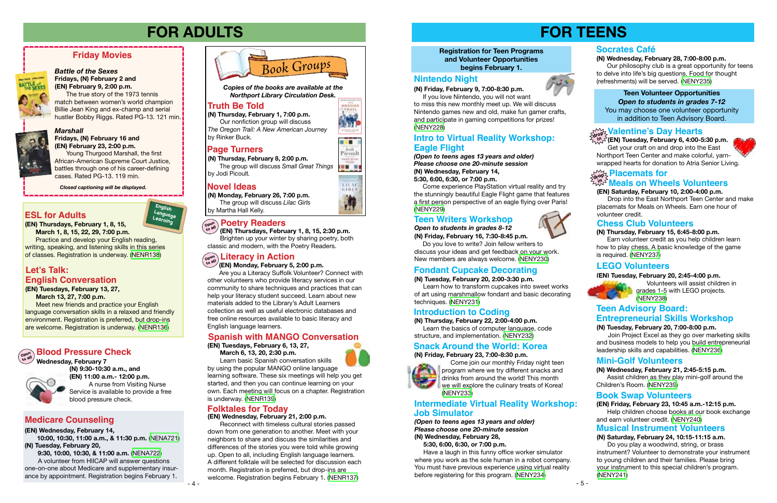*Open to students in grades 8-12* **(N) Friday, February 16, 7:30-8:45 p.m.**

 Do you love to write? Join fellow writers to discuss your ideas and get feedback on your work. New members are always welcome. ([NENY230\)](http://alpha1.suffolk.lib.ny.us/record%3Dg1079303~S43)

#### **Registration for Teen Programs and Volunteer Opportunities begins February 1.**

# **FOR TEENS**

#### **(EN) Tuesday, February 20, 2:45-4:00 p.m.**

 Volunteers will assist children in grades 1-5 with LEGO projects. ([NENY238](http://alpha1.suffolk.lib.ny.us/record%3Dg1079346~S43))

#### **(N) Wednesday, February 21, 2:45-5:15 p.m.**

 Assist children as they play mini-golf around the Children's Room. ([NENY239](http://alpha1.suffolk.lib.ny.us/record%3Dg1079359~S43))

# **FOR ADULTS**

**(N) Monday, February 26, 7:00 p.m.** The group will discuss *Lilac Girls* by Martha Hall Kelly.

## **POetry Readers**<br> **Co** all *I*ENI Thursdays Febru





OREGON

m Picoul



#### *Marshall* **Fridays, (N) February 16 and (EN) February 23, 2:00 p.m.**

Young Thurgood Marshall, the first African-American Supreme Court Justice, battles through one of his career-defining cases. Rated PG-13. 119 min.

*Closed captioning will be displayed.* . . . . . . . . . .

### **Friday Movies**



### **LEGO Volunteers**

#### **(N) Tuesday, February 20, 7:00-8:00 p.m.**

Join Project Excel as they go over marketing skills and business models to help you build entrepreneurial leadership skills and capabilities. ([NENY236\)](http://alpha1.suffolk.lib.ny.us/record%3Dg1079366~S43)

### **Teen Writers Workshop**

#### **Teen Volunteer Opportunities** *Open to students in grades 7-12* You may choose one volunteer opportunity in addition to Teen Advisory Board.

### $\mathcal{V}^{\mathcal{M}}_{\mathbf{d} \mathcal{P}}$  Valentine's Day Hearts

### **Mini-Golf Volunteers**

### **Truth Be Told**

### **Page Turners**

### **Novel Ideas**



**(N) Thursday, February 8, 2:00 p.m.** The group will discuss *Small Great Things*  by Jodi Picoult*.*

#### *Battle of the Sexes* **Fridays, (N) February 2 and**

**(EN) February 9, 2:00 p.m.**  The true story of the 1973 tennis match between women's world champion Billie Jean King and ex-champ and serial hustler Bobby Riggs. Rated PG-13. 121 min.



*Copies of the books are available at the Northport Library Circulation Desk.*

**(N) Thursday, February 1, 7:00 p.m.** Our nonfiction group will discuss

*The Oregon Trail: A New American Journey* by Rinker Buck.

#### **(N) Tuesday, February 20, 2:00-3:30 p.m.**

 Learn how to transform cupcakes into sweet works of art using marshmallow fondant and basic decorating techniques. [\(NENY231\)](http://alpha1.suffolk.lib.ny.us/record%3Dg1079309~S43)

### **Fondant Cupcake Decorating**

### **Introduction to Coding**

**(N) Thursday, February 22, 2:00-4:00 p.m.**

 Learn the basics of computer language, code structure, and implementation. ([NENY232](http://alpha1.suffolk.lib.ny.us/record%3Dg1079310~S43))

### **Nintendo Night**



**(N) Friday, February 9, 7:00-8:30 p.m.**

 If you love Nintendo, you will not want to miss this new monthly meet up. We will discuss Nintendo games new and old, make fun gamer crafts, and participate in gaming competitions for prizes! ([NENY228](http://alpha1.suffolk.lib.ny.us/record%3Dg1079302~S43))

#### **(N) Thursday, February 15, 6:45-8:00 p.m.**

 Earn volunteer credit as you help children learn how to play chess. A basic knowledge of the game is required. ([NENY237](http://alpha1.suffolk.lib.ny.us/record%3Dg1079345~S43))

#### **Chess Club Volunteers**

### **Book Swap Volunteers**

#### **(EN) Friday, February 23, 10:45 a.m.-12:15 p.m.**

 Help children choose books at our book exchange and earn volunteer credit. [\(NENY240](http://alpha1.suffolk.lib.ny.us/record%3Dg1079361~S43))

**English Language Learning**

 **(EN) Monday, February 5, 2:00 p.m.**

 Are you a Literacy Suffolk Volunteer? Connect with other volunteers who provide literacy services in our community to share techniques and practices that can help your literacy student succeed. Learn about new materials added to the Library's Adult Learners collection as well as useful electronic databases and free online resources available to basic literacy and English language learners.

**(EN) Tuesdays, February 13, 27, March 13, 27, 7:00 p.m.** 

#### **Placemats for** <sub>dr</sub>op ⊱ Placemats for<br>ບໍ່ມີ Meals on Wheels Volunteers **in**

Meet new friends and practice your English language conversation skills in a relaxed and friendly environment. Registration is preferred, but drop-ins are welcome. Registration is underway. ([NENR136\)](http://alpha1.suffolk.lib.ny.us/record%3Dg1078766~S43)

### **Let's Talk: English Conversation**

# **Literacy in Action Open to all**

**(EN) Wednesday, February 21, 2:00 p.m.** 

Reconnect with timeless cultural stories passed down from one generation to another. Meet with your neighbors to share and discuss the similarities and differences of the stories you were told while growing up. Open to all, including English language learners. A different folktale will be selected for discussion each month. Registration is preferred, but drop-ins are welcome. Registration begins February 1. [\(NENR137](http://alpha1.suffolk.lib.ny.us/record%3Dg1078780~S43))

### **Folktales for Today**

**(EN) Thursdays, February 1, 8, 15, March 1, 8, 15, 22, 29, 7:00 p.m. Practice and develop your English reading,** writing, speaking, and listening skills in this series

of classes. Registration is underway. [\(NENR138](http://alpha1.suffolk.lib.ny.us/record%3Dg1078978~S43))

### **ESL for Adults**

### **Spanish with MANGO Conversation**

**(EN) Tuesdays, February 6, 13, 27, March 6, 13, 20, 2:30 p.m.** 



Learn basic Spanish conversation skills by using the popular MANGO online language learning software. These six meetings will help you get started, and then you can continue learning on your own. Each meeting will focus on a chapter. Registration is underway. [\(NENR139](http://alpha1.suffolk.lib.ny.us/record%3Dg1078977~S43))

 **(EN) Thursdays, February 1, 8, 15, 2:30 p.m.** Brighten up your winter by sharing poetry, both classic and modern, with the Poetry Readers.

**(EN) Wednesday, February 14, 10:00, 10:30, 11:00 a.m., & 11:30 p.m.** ([NENA721\)](http://alpha1.suffolk.lib.ny.us/record%3Dg1079387~S43)

**(N) Tuesday, February 20,** 

 **9:30, 10:00, 10:30, & 11:00 a.m.** ([NENA722\)](http://alpha1.suffolk.lib.ny.us/record%3Dg1079388~S43) A volunteer from HIICAP will answer questions one-on-one about Medicare and supplementary insurance by appointment. Registration begins February 1.

### **Medicare Counseling**

*(Open to teens ages 13 years and older) Please choose one 20-minute session* **(N) Wednesday, February 14, 5:30, 6:00, 6:30, or 7:00 p.m.**

Come experience PlayStation virtual reality and try the stunningly beautiful Eagle Flight game that features a first person perspective of an eagle flying over Paris! ([NENY229](http://alpha1.suffolk.lib.ny.us/record%3Dg1079344~S43))

#### **(N) Friday, February 23, 7:00-8:30 p.m.**



 Come join our monthly Friday night teen program where we try different snacks and drinks from around the world! This month we will explore the culinary treats of Korea! ([NENY233](http://alpha1.suffolk.lib.ny.us/record%3Dg1079316~S43))

### **Snack Around the World: Korea**

*(Open to teens ages 13 years and older) Please choose one 20-minute session* **(N) Wednesday, February 28,**

 **5:30, 6:00, 6:30, or 7:00 p.m.**

Have a laugh in this funny office worker simulator where you work as the sole human in a robot company. You must have previous experience using virtual reality before registering for this program. [\(NENY234](http://alpha1.suffolk.lib.ny.us/record%3Dg1079322~S43))

#### **(N) Wednesday, February 28, 7:00-8:00 p.m.**

### **Intro to Virtual Reality Workshop: Eagle Flight**

### **Intermediate Virtual Reality Workshop: Job Simulator**

 Our philosophy club is a great opportunity for teens to delve into life's big questions. Food for thought (refreshments) will be served. [\(NENY235\)](http://alpha1.suffolk.lib.ny.us/record%3Dg1079320~S43)

### **Socrates Café**

#### **Musical Instrument Volunteers**

### **(N) Saturday, February 24, 10:15-11:15 a.m.**

 Do you play a woodwind, string, or brass instrument? Volunteer to demonstrate your instrument to young children and their families. Please bring your instrument to this special children's program. ([NENY241](http://alpha1.suffolk.lib.ny.us/record%3Dg1079372~S43))

#### **(EN) Saturday, February 10, 2:00-4:00 p.m.**

 Drop into the East Northport Teen Center and make placemats for Meals on Wheels. Earn one hour of volunteer credit.

**(EN) Tuesday, February 6, 4:00-5:30 p.m. in** Get your craft on and drop into the East

### **Teen Advisory Board: Entrepreneurial Skills Workshop**

Northport Teen Center and make colorful, yarnwrapped hearts for donation to Atria Senior Living.

 **Wednesday, February 7**

 **(N) 9:30-10:30 a.m., and (EN) 11:00 a.m.- 12:00 p.m.**

 A nurse from Visiting Nurse Service is available to provide a free blood pressure check.



### **Blood Pressure Check**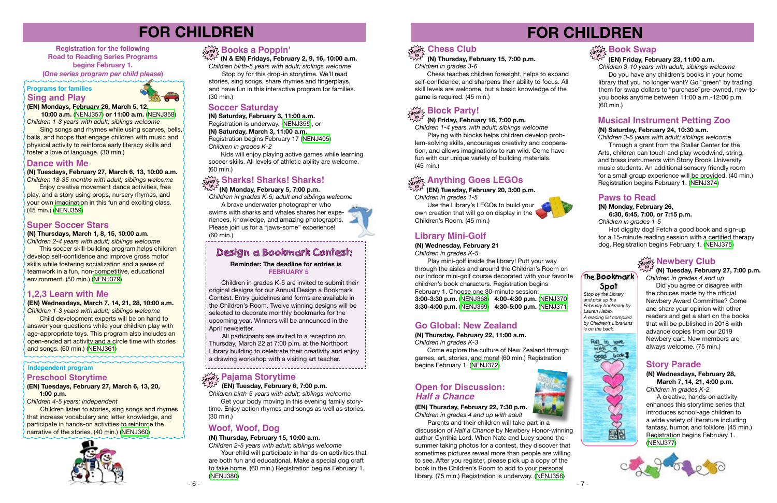# **FOR CHILDREN**

**Registration for the following Road to Reading Series Programs begins February 1. (***One series program per child please***)**

**(N) Saturday, February 3, 11:00 a.m.**

Registration is underway. [\(NENJ355](http://alpha1.suffolk.lib.ny.us/record%3Dg1078444~S43)), or

Kids will enjoy playing active games while learning soccer skills. All levels of athletic ability are welcome. (60 min.)

**(N) Saturday, March 3, 11:00 a.m.** Registration begins February 17 [\(NENJ405\)](http://alpha1.suffolk.lib.ny.us/record%3Dg1079637~S43)

*Children in grades K-2*

# **FOR CHILDREN**



### **Book Swap**

#### **Independent program**

### **Soccer Saturday**

#### **(EN) Friday, February 23, 11:00 a.m.**

#### **Programs for families Sing and Play**



*Children 3-10 years with adult; siblings welcome*  Do you have any children's books in your home library that you no longer want? Go "green" by trading them for swap dollars to "purchase"pre-owned, new-toyou books anytime between 11:00 a.m.-12:00 p.m. (60 min.)

#### **(EN) Mondays, February 26, March 5, 12,**

 **10:00 a.m.** [\(NENJ357\)](http://alpha1.suffolk.lib.ny.us/record%3Dg1079328~S43) **or 11:00 a.m.** [\(NENJ358\)](http://alpha1.suffolk.lib.ny.us/record%3Dg1079330~S43) *Children 1-3 years with adult; siblings welcome*

 Sing songs and rhymes while using scarves, bells, balls, and hoops that engage children with music and physical activity to reinforce early literacy skills and foster a love of language. (30 min.)

### **Dance with Me**

**(N) Tuesdays, February 27, March 6, 13, 10:00 a.m.**

*Children 18-35 months with adult; siblings welcome* **Enjoy creative movement dance activities, free** play, and a story using props, nursery rhymes, and your own imagination in this fun and exciting class*.* (45 min.) [\(NENJ359\)](http://alpha1.suffolk.lib.ny.us/record%3Dg1078723~S43)

#### **(EN) Tuesdays, February 27, March 6, 13, 20, 1:00 p.m.**

*Children 4-5 years; independent* 

 Children listen to stories, sing songs and rhymes that increase vocabulary and letter knowledge, and participate in hands-on activities to reinforce the narrative of the stories. (40 min.) [\(NENJ360\)](http://alpha1.suffolk.lib.ny.us/record%3Dg1079324~S43)



#### **Preschool Storytime**

### **Library Mini-Golf**

#### **(N) Wednesday, February 21** *Children in grades K-5*

 Play mini-golf inside the library! Putt your way through the aisles and around the Children's Room on our indoor mini-golf course decorated with your favorite children's book characters. Registration begins February 1. Choose one 30-minute session: **3:00-3:30 p.m.** ([NENJ368](http://alpha1.suffolk.lib.ny.us/record%3Dg1079381~S43)) **4:00-4:30 p.m.** ([NENJ370](http://alpha1.suffolk.lib.ny.us/record%3Dg1079383~S43)) **3:30-4:00 p.m.** ([NENJ369](http://alpha1.suffolk.lib.ny.us/record%3Dg1079382~S43)) **4:30-5:00 p.m.** ([NENJ371](http://alpha1.suffolk.lib.ny.us/record%3Dg1079384~S43))

#### **(N) Wednesdays, February 28, March 7, 14, 21, 4:00 p.m.**

*Children in grades K-2*

A creative, hands-on activity enhances this storytime series that introduces school-age children to a wide variety of literature including fantasy, humor, and folklore. (45 min.) Registration begins February 1. ([NENJ377](http://alpha1.suffolk.lib.ny.us/record%3Dg1079287~S43))



### **Story Parade**

*Children birth-5 years with adult; siblings welcome*  Get your body moving in this evening family story-

#### **(N) Saturday, February 24, 10:30 a.m.**

*Children 3-5 years with adult; siblings welcome* Through a grant from the Staller Center for the Arts, children can touch and play woodwind, string, and brass instruments with Stony Brook University music students. An additional sensory friendly room

Your child will participate in hands-on activities that are both fun and educational. Make a special dog craft to take home. (60 min.) Registration begins February 1. ([NENJ380](http://alpha1.suffolk.lib.ny.us/record%3Dg1079305~S43))

for a small group experience will be provided. (40 min.) Registration begins February 1. ([NENJ374\)](http://alpha1.suffolk.lib.ny.us/record%3Dg1078722~S43)

### **Musical Instrument Petting Zoo**

### **The Bookmark**

**Spot** *Stop by the Library and pick up the February bookmark by Lauren Habib. A reading list compiled by Children's Librarians is on the back.*



### **1,2,3 Learn with Me**

Use the Library's LEGOs to build your own creation that will go on display in the Children's Room. (45 min.)

**(EN) Wednesdays, March 7, 14, 21, 28, 10:00 a.m.** *Children 1-3 years with adult; siblings welcome*

> Come explore the culture of New Zealand through games, art, stories, and more! (60 min.) Registration begins February 1. [\(NENJ372\)](http://alpha1.suffolk.lib.ny.us/record%3Dg1078719~S43)

Child development experts will be on hand to answer your questions while your children play with age-appropriate toys. This program also includes an open-ended art activity and a circle time with stories and songs. (60 min.) ([NENJ361](http://alpha1.suffolk.lib.ny.us/record%3Dg1079471~S43))

### **Super Soccer Stars**

#### **(N) Thursdays, March 1, 8, 15, 10:00 a.m.**

Parents and their children will take part in a discussion of *Half a Chance* by Newbery Honor-winning author Cynthia Lord. When Nate and Lucy spend the summer taking photos for a contest, they discover that sometimes pictures reveal more than people are willing to see. After you register, please pick up a copy of the book in the Children's Room to add to your personal library. (75 min.) Registration is underway. ([NENJ356](http://alpha1.suffolk.lib.ny.us/record%3Dg1078386~S43))





*Children 2-4 years with adult; siblings welcome* **This soccer skill-building program helps children** develop self-confidence and improve gross motor skills while fostering socialization and a sense of teamwork in a fun, non-competitive, educational environment. (50 min.) [\(NENJ379\)](http://alpha1.suffolk.lib.ny.us/record%3Dg1079291~S43)

Did you agree or disagree with the choices made by the official Newbery Award Committee? Come and share your opinion with other readers and get a start on the books that will be published in 2018 with advance copies from our 2019 Newbery cart. New members are always welcome. (75 min.)

 **(N & EN) Fridays, February 2, 9, 16, 10:00 a.m.** *Children birth-5 years with adult; siblings welcome*

 Stop by for this drop-in storytime. We'll read stories, sing songs, share rhymes and fingerplays, and have fun in this interactive program for families. (30 min.)

### **Books a Poppin' drop in**

#### **(N) Monday, February 5, 7:00 p.m.**

*Children in grades K-5; adult and siblings welcome*

A brave underwater photographer who swims with sharks and whales shares her experiences, knowledge, and amazing photographs. Please join us for a "jaws-some" experience! (60 min.)

### **Design a Bookmark Contest:**

# **Sharks! Sharks! Sharks! drop in**

 Children in grades K-5 are invited to submit their original designs for our Annual Design a Bookmark Contest. Entry guidelines and forms are available in the Children's Room. Twelve winning designs will be selected to decorate monthly bookmarks for the upcoming year. Winners will be announced in the April newsletter.

 All participants are invited to a reception on Thursday, March 22 at 7:00 p.m. at the Northport Library building to celebrate their creativity and enjoy a drawing workshop with a visiting art teacher.

# **drop <b>Pajama Storytime**<br> *Ind I***nd Tuesday February 6**

#### **Reminder: The deadline for entries is FEBRUARY 5**

 **(EN) Tuesday, February 6, 7:00 p.m.**

time. Enjoy action rhymes and songs as well as stories. (30 min.)

#### **(N) Thursday, February 15, 10:00 a.m.**

*Children 2-5 years with adult; siblings welcome*

### **Woof, Woof, Dog**

### **(N) Thursday, February 15, 7:00 p.m.**

*Children in grades 3-6*



 Chess teaches children foresight, helps to expand self-confidence, and sharpens their ability to focus. All skill levels are welcome, but a basic knowledge of the game is required. (45 min.)

### **Block Party!**

*Children 1-4 years with adult; siblings welcome*

#### **(N) Friday, February 16, 7:00 p.m. in**

 Playing with blocks helps children develop problem-solving skills, encourages creativity and cooperation, and allows imaginations to run wild. Come have fun with our unique variety of building materials. (45 min.)

### $\frac{1}{\text{drop}}$  Anything Goes LEGOs

 **(EN) Tuesday, February 20, 3:00 p.m.**  *Children in grades 1-5* **in**

### **Go Global: New Zealand**

**(N) Thursday, February 22, 11:00 a.m.** *Children in grades K-3*

#### **(EN) Thursday, February 22, 7:30 p.m.** *Children in grades 4 and up with adult*

### **Open for Discussion:** *Half a Chance*



### **Paws to Read**

**(N) Monday, February 26, 6:30, 6:45, 7:00, or 7:15 p.m.**

*Children in grades 1-5*

 Hot diggity dog! Fetch a good book and sign-up for a 15-minute reading session with a certified therapy dog. Registration begins February 1. ([NENJ375](http://alpha1.suffolk.lib.ny.us/record%3Dg1077027~S43))

### $\frac{\sum\limits_{\text{dropZ}}}{\sum\limits_{\text{B}}}\text{Newbery Club}$

#### **(N) Tuesday, February 27, 7:00 p.m.** *Children in grades 4 and up* **in**